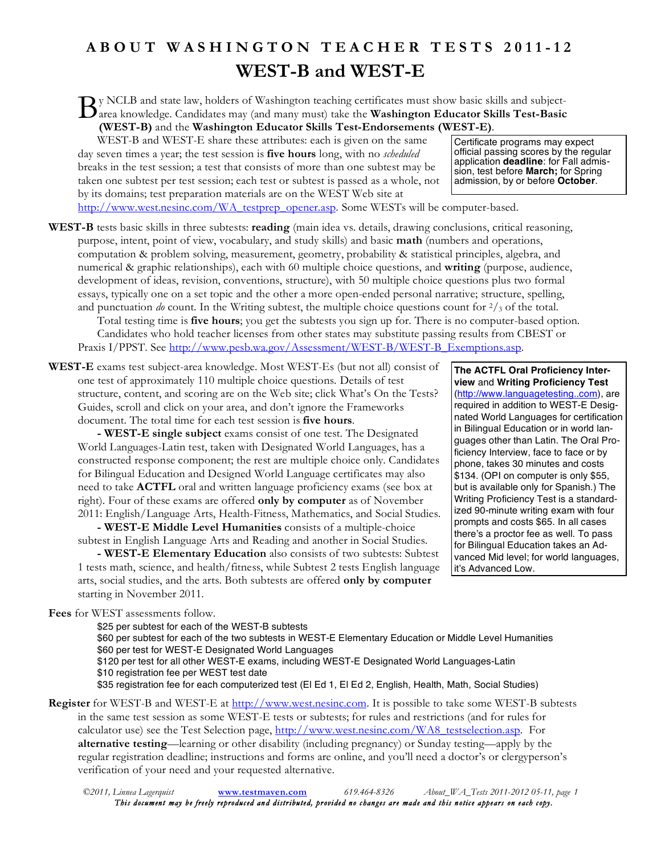## **ABOUT WASHINGTON TEACHER TESTS 2011 - 1 2 WEST-B and WEST-E**

y NCLB and state law, holders of Washington teaching certificates must show basic skills and subject-By NCLB and state law, holders of Washington teaching certificates must show basic skills and subject-<br>area knowledge. Candidates may (and many must) take the **Washington Educator Skills Test-Basic**<br>**Brack Conditions (WEST-B)** and the **Washington Educator Skills Test-Endorsements (WEST-E)**.

WEST-B and WEST-E share these attributes: each is given on the same day seven times a year; the test session is **five hours** long, with no *scheduled* breaks in the test session; a test that consists of more than one subtest may be taken one subtest per test session; each test or subtest is passed as a whole, not by its domains; test preparation materials are on the WEST Web site at

Certificate programs may expect official passing scores by the regular application **deadline**: for Fall admission, test before **March;** for Spring admission, by or before **October**.

http://www.west.nesinc.com/WA\_testprep\_opener.asp. Some WESTs will be computer-based.

**WEST-B** tests basic skills in three subtests: **reading** (main idea vs. details, drawing conclusions, critical reasoning, purpose, intent, point of view, vocabulary, and study skills) and basic **math** (numbers and operations, computation & problem solving, measurement, geometry, probability & statistical principles, algebra, and numerical & graphic relationships), each with 60 multiple choice questions, and **writing** (purpose, audience, development of ideas, revision, conventions, structure), with 50 multiple choice questions plus two formal essays, typically one on a set topic and the other a more open-ended personal narrative; structure, spelling, and punctuation *do* count. In the Writing subtest, the multiple choice questions count for  $\frac{2}{3}$  of the total. Total testing time is **five hours**; you get the subtests you sign up for. There is no computer-based option. Candidates who hold teacher licenses from other states may substitute passing results from CBEST or

Praxis I/PPST. See http://www.pesb.wa.gov/Assessment/WEST-B/WEST-B\_Exemptions.asp.

**WEST-E** exams test subject-area knowledge. Most WEST-Es (but not all) consist of one test of approximately 110 multiple choice questions. Details of test structure, content, and scoring are on the Web site; click What's On the Tests? Guides, scroll and click on your area, and don't ignore the Frameworks document. The total time for each test session is **five hours**.

**- WEST-E single subject** exams consist of one test. The Designated World Languages-Latin test, taken with Designated World Languages, has a constructed response component; the rest are multiple choice only. Candidates for Bilingual Education and Designed World Language certificates may also need to take **ACTFL** oral and written language proficiency exams (see box at right). Four of these exams are offered **only by computer** as of November 2011: English/Language Arts, Health-Fitness, Mathematics, and Social Studies.

**- WEST-E Middle Level Humanities** consists of a multiple-choice subtest in English Language Arts and Reading and another in Social Studies.

**- WEST-E Elementary Education** also consists of two subtests: Subtest 1 tests math, science, and health/fitness, while Subtest 2 tests English language arts, social studies, and the arts. Both subtests are offered **only by computer** starting in November 2011.

**The ACTFL Oral Proficiency Interview** and **Writing Proficiency Test** (http://www.languagetesting..com), are required in addition to WEST-E Designated World Languages for certification in Bilingual Education or in world languages other than Latin. The Oral Proficiency Interview, face to face or by phone, takes 30 minutes and costs \$134. (OPI on computer is only \$55, but is available only for Spanish.) The Writing Proficiency Test is a standardized 90-minute writing exam with four prompts and costs \$65. In all cases there's a proctor fee as well. To pass for Bilingual Education takes an Advanced Mid level; for world languages,

it's Advanced Low.

**Fees** for WEST assessments follow.

\$25 per subtest for each of the WEST-B subtests

\$60 per subtest for each of the two subtests in WEST-E Elementary Education or Middle Level Humanities \$60 per test for WEST-E Designated World Languages

\$120 per test for all other WEST-E exams, including WEST-E Designated World Languages-Latin \$10 registration fee per WEST test date

\$35 registration fee for each computerized test (El Ed 1, El Ed 2, English, Health, Math, Social Studies)

**Register** for WEST-B and WEST-E at http://www.west.nesinc.com. It is possible to take some WEST-B subtests in the same test session as some WEST-E tests or subtests; for rules and restrictions (and for rules for calculator use) see the Test Selection page, http://www.west.nesinc.com/WA8\_testselection.asp. For **alternative testing**—learning or other disability (including pregnancy) or Sunday testing—apply by the regular registration deadline; instructions and forms are online, and you'll need a doctor's or clergyperson's verification of your need and your requested alternative.

*©2011, Linnea Lagerquist* **www.testmaven.com** *619.464-8326 About\_WA\_Tests 2011-2012 05-11, page 1 This document may be freely reproduced and distributed, provided no changes are made and this notice appears on each copy.*